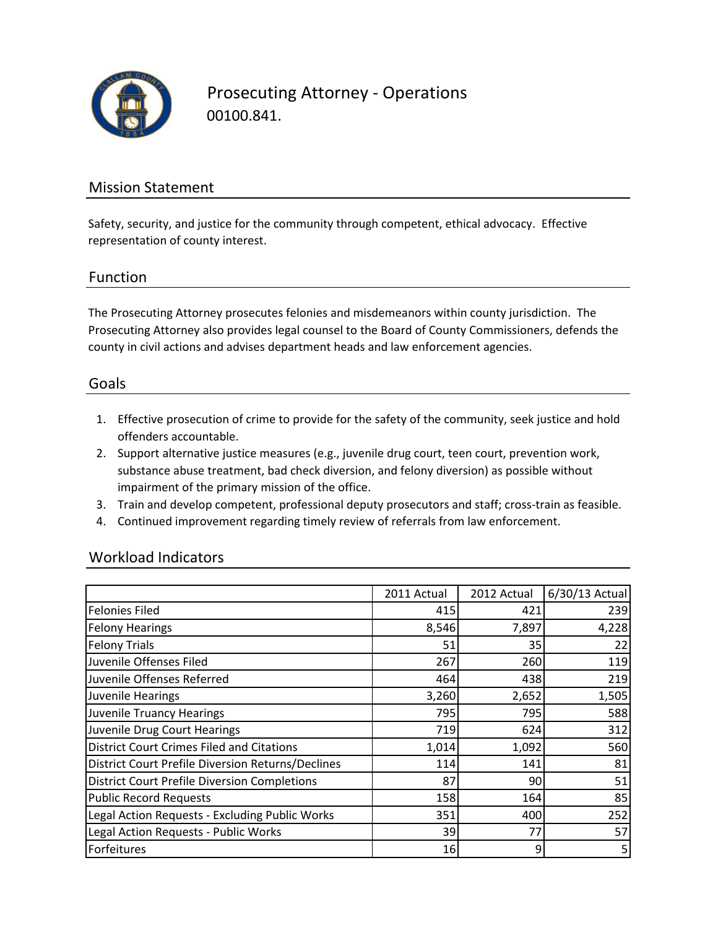

Prosecuting Attorney - Operations 00100.841.

### Mission Statement

Safety, security, and justice for the community through competent, ethical advocacy. Effective representation of county interest.

### Function

The Prosecuting Attorney prosecutes felonies and misdemeanors within county jurisdiction. The Prosecuting Attorney also provides legal counsel to the Board of County Commissioners, defends the county in civil actions and advises department heads and law enforcement agencies.

#### Goals

- 1. Effective prosecution of crime to provide for the safety of the community, seek justice and hold offenders accountable.
- 2. Support alternative justice measures (e.g., juvenile drug court, teen court, prevention work, substance abuse treatment, bad check diversion, and felony diversion) as possible without impairment of the primary mission of the office.
- 3. Train and develop competent, professional deputy prosecutors and staff; cross-train as feasible.
- 4. Continued improvement regarding timely review of referrals from law enforcement.

### Workload Indicators

|                                                     | 2011 Actual | 2012 Actual | 6/30/13 Actual |
|-----------------------------------------------------|-------------|-------------|----------------|
| <b>Felonies Filed</b>                               | 415         | 421         | 239            |
| <b>Felony Hearings</b>                              | 8,546       | 7,897       | 4,228          |
| <b>Felony Trials</b>                                | 51          | 35          | 22             |
| Juvenile Offenses Filed                             | 267         | 260         | 119            |
| Juvenile Offenses Referred                          | 464         | 438         | 219            |
| Juvenile Hearings                                   | 3,260       | 2,652       | 1,505          |
| <b>Juvenile Truancy Hearings</b>                    | 795         | 795         | 588            |
| Juvenile Drug Court Hearings                        | 719         | 624         | 312            |
| <b>District Court Crimes Filed and Citations</b>    | 1,014       | 1,092       | 560            |
| District Court Prefile Diversion Returns/Declines   | 114         | 141         | 81             |
| <b>District Court Prefile Diversion Completions</b> | 87          | 90          | 51             |
| <b>Public Record Requests</b>                       | 158         | 164         | 85             |
| Legal Action Requests - Excluding Public Works      | 351         | 400         | 252            |
| Legal Action Requests - Public Works                | 39          | 77          | 57             |
| Forfeitures                                         | 16          | 9           | 5              |